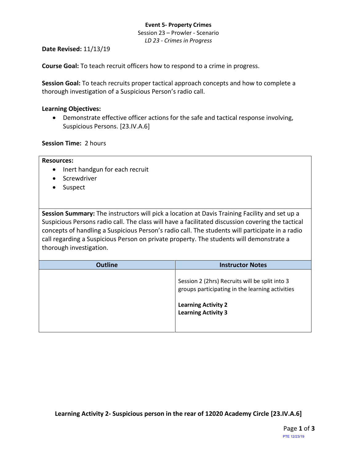## **Event 5- Property Crimes**

Session 23 – Prowler - Scenario *LD 23 - Crimes in Progress*

**Date Revised:** 11/13/19

**Course Goal:** To teach recruit officers how to respond to a crime in progress.

**Session Goal:** To teach recruits proper tactical approach concepts and how to complete a thorough investigation of a Suspicious Person's radio call.

# **Learning Objectives:**

• Demonstrate effective officer actions for the safe and tactical response involving, Suspicious Persons. [23.IV.A.6]

**Session Time:** 2 hours

| <b>Resources:</b>                                                                                                                                                                                                                                                                                                                                                                                                           |                         |
|-----------------------------------------------------------------------------------------------------------------------------------------------------------------------------------------------------------------------------------------------------------------------------------------------------------------------------------------------------------------------------------------------------------------------------|-------------------------|
| Inert handgun for each recruit                                                                                                                                                                                                                                                                                                                                                                                              |                         |
| Screwdriver                                                                                                                                                                                                                                                                                                                                                                                                                 |                         |
| Suspect                                                                                                                                                                                                                                                                                                                                                                                                                     |                         |
|                                                                                                                                                                                                                                                                                                                                                                                                                             |                         |
|                                                                                                                                                                                                                                                                                                                                                                                                                             |                         |
| Session Summary: The instructors will pick a location at Davis Training Facility and set up a<br>Suspicious Persons radio call. The class will have a facilitated discussion covering the tactical<br>concepts of handling a Suspicious Person's radio call. The students will participate in a radio<br>call regarding a Suspicious Person on private property. The students will demonstrate a<br>thorough investigation. |                         |
|                                                                                                                                                                                                                                                                                                                                                                                                                             |                         |
| <b>Outline</b>                                                                                                                                                                                                                                                                                                                                                                                                              | <b>Instructor Notes</b> |

**Learning Activity 2- Suspicious person in the rear of 12020 Academy Circle [23.IV.A.6]**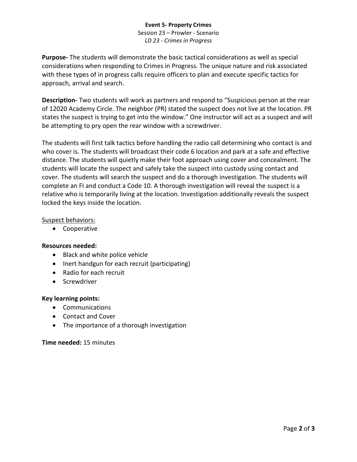## **Event 5- Property Crimes** Session 23 – Prowler - Scenario *LD 23 - Crimes in Progress*

**Purpose-** The students will demonstrate the basic tactical considerations as well as special considerations when responding to Crimes in Progress. The unique nature and risk associated with these types of in progress calls require officers to plan and execute specific tactics for approach, arrival and search.

**Description-** Two students will work as partners and respond to "Suspicious person at the rear of 12020 Academy Circle. The neighbor (PR) stated the suspect does not live at the location. PR states the suspect is trying to get into the window." One instructor will act as a suspect and will be attempting to pry open the rear window with a screwdriver.

The students will first talk tactics before handling the radio call determining who contact is and who cover is. The students will broadcast their code 6 location and park at a safe and effective distance. The students will quietly make their foot approach using cover and concealment. The students will locate the suspect and safely take the suspect into custody using contact and cover. The students will search the suspect and do a thorough investigation. The students will complete an FI and conduct a Code 10. A thorough investigation will reveal the suspect is a relative who is temporarily living at the location. Investigation additionally reveals the suspect locked the keys inside the location.

## Suspect behaviors:

• Cooperative

## **Resources needed:**

- Black and white police vehicle
- Inert handgun for each recruit (participating)
- Radio for each recruit
- Screwdriver

#### **Key learning points:**

- Communications
- Contact and Cover
- The importance of a thorough investigation

#### **Time needed:** 15 minutes